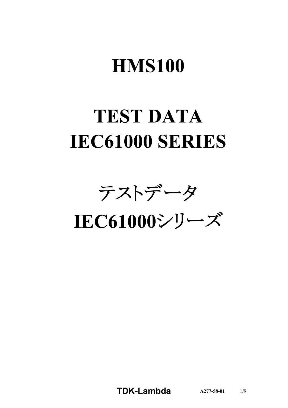# **HMS100**

# **TEST DATA IEC61000 SERIES**

テストデータ

IEC61000シリーズ

**TDK-Lambda**  $A277-58-01$  1/9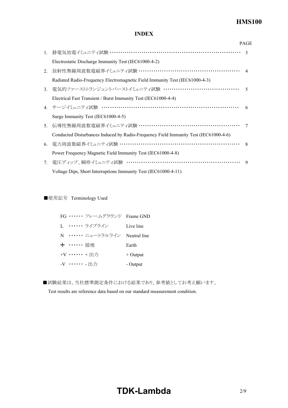## **HMS100**

### **INDEX**

|                                  |                                                                                      | <b>PAGE</b>    |
|----------------------------------|--------------------------------------------------------------------------------------|----------------|
|                                  | 1. 静電気放電イミュニティ試験 ……………………………………………………………                                             | $\mathcal{R}$  |
|                                  | Electrostatic Discharge Immunity Test (IEC61000-4-2)                                 |                |
| 2.                               | 放射性無線周波数電磁界イミュニティ試験 ………………………………………………… 4                                            |                |
|                                  | Radiated Radio-Frequency Electromagnetic Field Immunity Test (IEC61000-4-3)          |                |
| 3.                               | 電気的ファーストトランジェントバーストイミュニティ試験 …………………………………                                            | $\overline{5}$ |
|                                  | Electrical Fast Transient / Burst Immunity Test (IEC61000-4-4)                       |                |
|                                  | 4. サージイミュニティ試験 ……………………………………………………………                                               | 6              |
|                                  | Surge Immunity Test (IEC61000-4-5)                                                   |                |
| 5 <sub>1</sub>                   | 伝導性無線周波数電磁界イミュニティ試験 ………………………………………………                                               | 7              |
|                                  | Conducted Disturbances Induced by Radio-Frequency Field Immunity Test (IEC61000-4-6) |                |
|                                  | 6. 電力周波数磁界イミュニティ試験 …………………………………………………………                                            | $\mathcal{R}$  |
|                                  | Power Frequency Magnetic Field Immunity Test (IEC61000-4-8)                          |                |
| $7_{\scriptscriptstyle{\ddots}}$ | 電圧ディップ、瞬停イミュニティ試験 ……………………………………………………                                               | 9              |
|                                  | Voltage Dips, Short Interruptions Immunity Test (IEC61000-4-11)                      |                |

■使用記号 Terminology Used

| FG …… フレームグラウンド Frame GND   |            |
|-----------------------------|------------|
| L. …… ライブライン                | Live line  |
| N …… ニュートラルライン Neutral line |            |
| → …… 接地                     | Earth      |
| +V …… +出力                   | $+$ Output |
| -V …… - 出力                  | - Output   |

■試験結果は、当社標準測定条件における結果であり、参考値としてお考え願います。

Test results are reference data based on our standard measurement condition.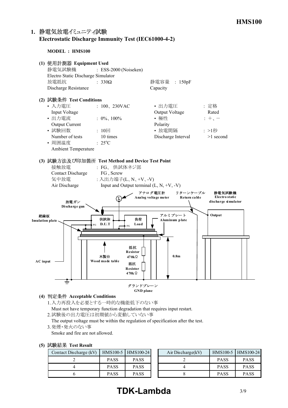### **1. Electrostatic Discharge Immunity Test (IEC6100042)**

**MODEL : HMS100**



#### **(4) Acceptable Conditions**

1.入力再投入を必要とする一時的な機能低下のない事 Must not have temporary function degradation that requires input restart.

2.試験後の出力電圧は初期値から変動していない事

The output voltage must be within the regulation of specification after the test.

3.発煙・発火のない事

Smoke and fire are not allowed.

|  |  | (5) 試験結果 Test Result |
|--|--|----------------------|
|--|--|----------------------|

| Contact Discharge $(kV)$ |             | HMS100-5   HMS100-24 | Air Discharge $(kV)$ |             | HMS100-5 HMS100-24 |
|--------------------------|-------------|----------------------|----------------------|-------------|--------------------|
|                          | <b>PASS</b> | PASS                 |                      | <b>PASS</b> | <b>PASS</b>        |
|                          | <b>PASS</b> | PASS                 |                      | <b>PASS</b> | <b>PASS</b>        |
|                          | PASS        | PASS                 |                      | <b>PASS</b> | <b>PASS</b>        |

# **TDK-Lambda** 3/9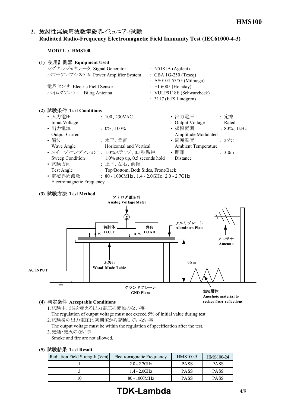## 2. 放射性無線周波数電磁界イミュニティ試験 **Radiated RadioFrequency Electromagnetic Field Immunity Test (IEC6100043)**

**MODEL : HMS100**

| (1) 使用計測器 Equipment Used          |                                 |
|-----------------------------------|---------------------------------|
| シグナルジェネレータ Signal Generator       | : N5181A (Agilent)              |
| パワーアンプシステム Power Amplifier System | $\therefore$ CBA 1G-250 (Teseq) |
|                                   | : AS0104-55/55 (Milmega)        |
| 電界センサ Electric Field Sensor       | : HI-6005 (Holaday)             |
| バイログアンテナ Bilog Antenna            | : VULP9118E (Schwarzbeck)       |
|                                   | $: 3117$ (ETS Lindgren)         |
| (2) 試験条件 Test Conditions          |                                 |

| $\eta$ program is the conditions |                                                       |                     |                          |
|----------------------------------|-------------------------------------------------------|---------------------|--------------------------|
| • 入力電圧                           | : $100, 230$ VAC                                      | • 出力電圧              | : 定格                     |
| Input Voltage                    |                                                       | Output Voltage      | Rated                    |
| • 出力電流                           | : $0\%$ , $100\%$                                     | • 振幅変調              | $: 80\%$ , 1kHz          |
| <b>Output Current</b>            |                                                       | Amplitude Modulated |                          |
| ・偏波                              | :水平、垂直                                                | • 周囲温度              | $\div$ 25 <sup>o</sup> C |
| Wave Angle                       | Horizontal and Vertical                               | Ambient Temperature |                          |
|                                  | • スイープ·コンディション: 1.0%ステップ、0.5秒保持                       | • 距離                | $\therefore$ 3.0m        |
| Sweep Condition                  | $1.0\%$ step up, 0.5 seconds hold                     | Distance            |                          |
| • 試験方向                           | : 上下、左右、前後                                            |                     |                          |
| Test Angle                       | Top/Bottom, Both Sides, Front/Back                    |                     |                          |
| • 電磁界周波数                         | : $80 - 1000 \text{MHz}$ , 1.4 - 2.0GHz, 2.0 - 2.7GHz |                     |                          |
| Electromagnetic Frequency        |                                                       |                     |                          |

#### **(3) Test Method**



#### **(4) Acceptable Conditions**

1.試験中、5%を超える出力電圧の変動のない事 The regulation of output voltage must not exceed 5% of initial value during test. 2.試験後の出力電圧は初期値から変動していない事

The output voltage must be within the regulation of specification after the test. 3.発煙・発火のない事

Smoke and fire are not allowed.

#### **(5) Test Result**

| Radiation Field Strength $(V/m)$ | Electromagnetic Frequency | $HMS100-5$  | HMS100-24   |
|----------------------------------|---------------------------|-------------|-------------|
|                                  | $2.0 - 2.7$ GHz           | <b>PASS</b> | <b>PASS</b> |
|                                  | $1.4 - 2.0$ GHz           | <b>PASS</b> | <b>PASS</b> |
|                                  | $80 - 1000 MHz$           | <b>PASS</b> | <b>PASS</b> |

# **TDK-Lambda** 4/9

**reduce floor reflections**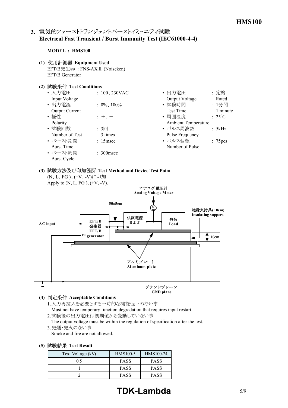## 3. 電気的ファーストトランジェントバーストイミュニティ試験 **Electrical Fast Transient / Burst Immunity Test (IEC6100044)**

#### **MODEL : HMS100**

- **(1) Equipment Used** EFT/B発生器 : FNSAXⅡ (Noiseken) EFT/B Generator
- **(2) Test Conditions**

| • 入力電圧                | : $100, 230$ VAC      | • 出力電圧              | :定格                 |
|-----------------------|-----------------------|---------------------|---------------------|
| Input Voltage         |                       | Output Voltage      | Rated               |
| • 出力電流                | $: 0\%$ , 100%        | • 試験時間              | : 1分間               |
| <b>Output Current</b> |                       | <b>Test Time</b>    | 1 minute            |
| • 極性                  | $: +$                 | • 周囲温度              | $: 25^{\circ}C$     |
| Polarity              |                       | Ambient Temperature |                     |
| • 試験回数                | $: 3 \square$         | • パルス周波数            | : 5kHz              |
| Number of Test        | 3 times               | Pulse Frequency     |                     |
| • バースト期間              | : 15msec              | • パルス個数             | : 75 <sub>pcs</sub> |
| <b>Burst Time</b>     |                       | Number of Pulse     |                     |
| • バースト周期              | $\therefore$ 300 msec |                     |                     |
| Burst Cycle           |                       |                     |                     |

## **(3) Test Method and Device Test Point**



- 1.入力再投入を必要とする一時的な機能低下のない事 Must not have temporary function degradation that requires input restart.
- 2.試験後の出力電圧は初期値から変動していない事
- The output voltage must be within the regulation of specification after the test. 3.発煙・発火のない事

Smoke and fire are not allowed.

|  |  | (5) 試験結果 Test Result |
|--|--|----------------------|
|--|--|----------------------|

| Test Voltage (kV) | HMS100-5    | HMS100-24   |
|-------------------|-------------|-------------|
| 05                | <b>PASS</b> | <b>PASS</b> |
|                   | <b>PASS</b> | <b>PASS</b> |
|                   | <b>PASS</b> | <b>PASS</b> |

# **TDK-Lambda** 5/9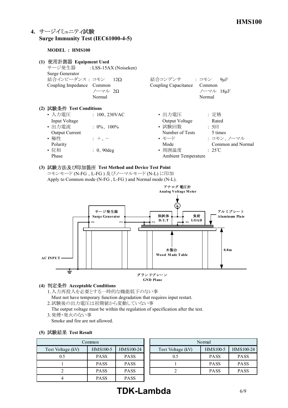## **4. Surge Immunity Test (IEC6100045)**

#### **MODEL : HMS100**

| (1) | 使用計測器 Equipment Used<br>Surge Generator<br>結合インピーダンス: コモン 12Ω<br>Coupling Impedance Common | サージ発生器 : LSS-15AX (Noiseken)<br>ノーマル 2Ω<br>Normal | 結合コンデンサ : コモン<br>Coupling Capacitance | $9\mu F$<br>Common<br>ノーマル 18µF<br>Normal |
|-----|--------------------------------------------------------------------------------------------|---------------------------------------------------|---------------------------------------|-------------------------------------------|
|     | (2) 試験条件 Test Conditions                                                                   |                                                   |                                       |                                           |
|     | • 入力電圧<br>Input Voltage                                                                    | $: 100, 230$ VAC                                  | • 出力電圧<br>Output Voltage              | : 定格<br>Rated                             |
|     | • 出力雷流<br><b>Output Current</b>                                                            | $: 0\%$ , 100%                                    | • 試験回数<br>Number of Tests             | : 5<br>5 times                            |
|     | • 極性<br>Polarity                                                                           | $\pm$ + $\pm$                                     | • モード<br>Mode                         | : コモン、ノーマル<br>Common and Normal           |
|     | • 位相<br>Phase                                                                              | $: 0, 90$ deg                                     | • 周囲温度<br><b>Ambient Temperature</b>  | $\div$ 25°C                               |

**(3) Test Method and Device Test Point** コモンモード (NFG 、LFG ) 及びノーマルモード (NL) に印加 Apply to Common mode (N-FG, L-FG) and Normal mode (N-L).



#### **(4) Acceptable Conditions**

- 1.入力再投入を必要とする一時的な機能低下のない事 Must not have temporary function degradation that requires input restart.
- 2.試験後の出力電圧は初期値から変動していない事
- The output voltage must be within the regulation of specification after the test. 3.発煙・発火のない事
- Smoke and fire are not allowed.

#### **(5) Test Result**

| Common            |             |             |                   |
|-------------------|-------------|-------------|-------------------|
| Test Voltage (kV) | HMS100-5    | HMS100-24   | Test Voltage (kV) |
| 0.5               | <b>PASS</b> | <b>PASS</b> | 0.5               |
|                   | <b>PASS</b> | <b>PASS</b> |                   |
|                   | <b>PASS</b> | <b>PASS</b> |                   |
|                   | <b>PASS</b> | <b>PASS</b> |                   |

| Common |             |             | Normal            |             |             |
|--------|-------------|-------------|-------------------|-------------|-------------|
|        | HMS100-5    | HMS100-24   | Test Voltage (kV) | HMS100-5    | HMS100-24   |
|        | <b>PASS</b> | <b>PASS</b> | 0.5               | <b>PASS</b> | <b>PASS</b> |
|        | <b>PASS</b> | <b>PASS</b> |                   | <b>PASS</b> | <b>PASS</b> |
|        | <b>PASS</b> | <b>PASS</b> |                   | <b>PASS</b> | <b>PASS</b> |
|        |             |             |                   |             |             |

# **TDK-Lambda** 6/9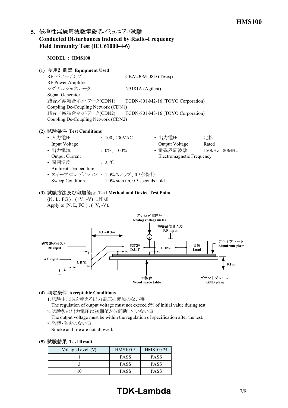## 5. 伝導性無線周波数電磁界イミュニティ試験 **Conducted Disturbances Induced by RadioFrequency** Field Immunity Test (IEC61000-4-6)

**MODEL : HMS100**

#### **(1) Equipment Used**

 $RF \sim \mathcal{PT} \sim \mathcal{TP}$  : CBA230M-08D (Teseq) RF Power Amplifier シグナルジェネレータ : N5181A (Agilent) Signal Generator 結合/減結合ネットワーク(CDN1) : TCDN-801-M2-16 (TOYO Corporation) Coupling De-Coupling Network (CDN1) 結合/減結合ネットワーク(CDN2) : TCDN-801-M3-16 (TOYO Corporation) Coupling De-Coupling Network (CDN2)

#### **(2) Test Conditions**

| • 入力電圧                           | : $100, 230 \text{VAC}$           | • 出力電圧                    | : 定格               |
|----------------------------------|-----------------------------------|---------------------------|--------------------|
| Input Voltage                    |                                   | Output Voltage            | Rated              |
| • 出力電流                           | : $0\%$ , $100\%$                 | • 電磁界周波数                  | $: 150kHz - 80MHz$ |
| <b>Output Current</b>            |                                   | Electromagnetic Frequency |                    |
| • 周囲温度                           | $\cdot$ 25°C                      |                           |                    |
| <b>Ambient Temperature</b>       |                                   |                           |                    |
| • スイープ・コンディション : 1.0%ステップ、0.5秒保持 |                                   |                           |                    |
| Sweep Condition                  | $1.0\%$ step up, 0.5 seconds hold |                           |                    |

#### **(3) Test Method and Device Test Point** (N、L、FG)、(+V、-V)に印加 Apply to  $(N, L, FG)$ ,  $(+V, -V)$ .



#### **(4) Acceptable Conditions**

- 1.試験中、5%を超える出力電圧の変動のない事 The regulation of output voltage must not exceed 5% of initial value during test.
- 2.試験後の出力電圧は初期値から変動していない事

The output voltage must be within the regulation of specification after the test. 3.発煙・発火のない事

Smoke and fire are not allowed.

|  | (5) 試験結果 Test Result |  |  |
|--|----------------------|--|--|
|--|----------------------|--|--|

| Voltage Level (V) | HMS100-5    | HMS100-24   |
|-------------------|-------------|-------------|
|                   | <b>PASS</b> | <b>PASS</b> |
|                   | <b>PASS</b> | <b>PASS</b> |
|                   | <b>PASS</b> | <b>PASS</b> |

# **TDK-Lambda** 7/9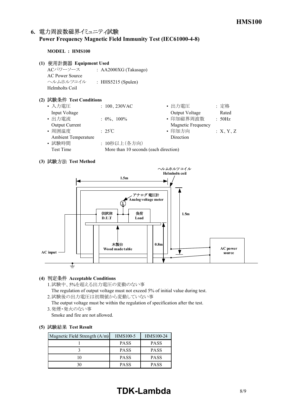## 6. 電力周波数磁界イミュニティ試験 **Power Frequency Magnetic Field Immunity Test (IEC6100048)**

#### **MODEL : HMS100**

- **(1) Equipment Used**
	- ACパワーソース : AA2000XG (Takasago) AC Power Source ヘルムホルツコイル : HHS5215 (Spulen) Helmholts Coil

#### **(2) Test Conditions**

| • 入力電圧                     | : $100, 230$ VAC                      | • 出力電圧                    | :定格     |
|----------------------------|---------------------------------------|---------------------------|---------|
| Input Voltage              |                                       | Output Voltage            | Rated   |
| • 出力電流                     | : $0\%$ , $100\%$                     | • 印加磁界周波数                 | : 50Hz  |
| <b>Output Current</b>      |                                       | <b>Magnetic Frequency</b> |         |
| • 周囲温度                     | $:25^{\circ}\text{C}$                 | • 印加方向                    | X, Y, Z |
| <b>Ambient Temperature</b> |                                       | Direction                 |         |
| • 試験時間                     | : 10秒以上(各方向)                          |                           |         |
| <b>Test Time</b>           | More than 10 seconds (each direction) |                           |         |
|                            |                                       |                           |         |

#### **(3) Test Method**



#### **(4) Acceptable Conditions**

1.試験中、5%を超える出力電圧の変動のない事

The regulation of output voltage must not exceed 5% of initial value during test. 2.試験後の出力電圧は初期値から変動していない事

The output voltage must be within the regulation of specification after the test. 3.発煙・発火のない事

Smoke and fire are not allowed.

#### **(5) Test Result**

| Magnetic Field Strength $(A/m)$ | <b>HMS100-5</b> | HMS100-24   |
|---------------------------------|-----------------|-------------|
|                                 | <b>PASS</b>     | <b>PASS</b> |
|                                 | <b>PASS</b>     | <b>PASS</b> |
|                                 | <b>PASS</b>     | <b>PASS</b> |
|                                 | <b>PASS</b>     | <b>PASS</b> |

# **TDK-Lambda** 8/9